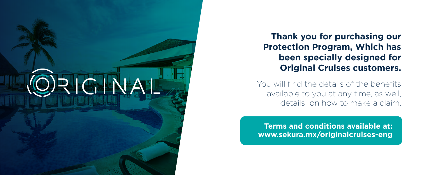

**Thank you for purchasing our Protection Program, Which has been specially designed for Original Cruises customers.**

You will find the details of the benefits available to you at any time, as well, details on how to make a claim.

**Terms and conditions available at: www.sekura.mx/originalcruises-eng**